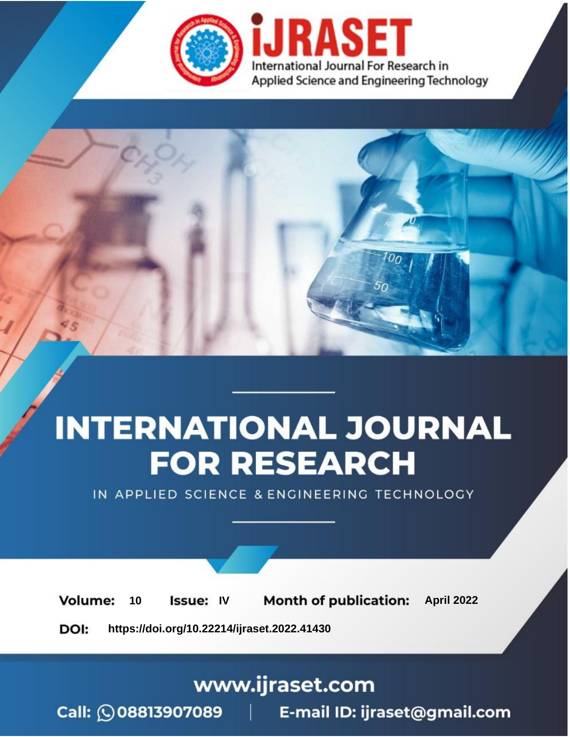

# **INTERNATIONAL JOURNAL FOR RESEARCH**

IN APPLIED SCIENCE & ENGINEERING TECHNOLOGY

10 **Issue: IV Month of publication:** April 2022 **Volume:** 

**https://doi.org/10.22214/ijraset.2022.41430**DOI:

www.ijraset.com

Call: 008813907089 | E-mail ID: ijraset@gmail.com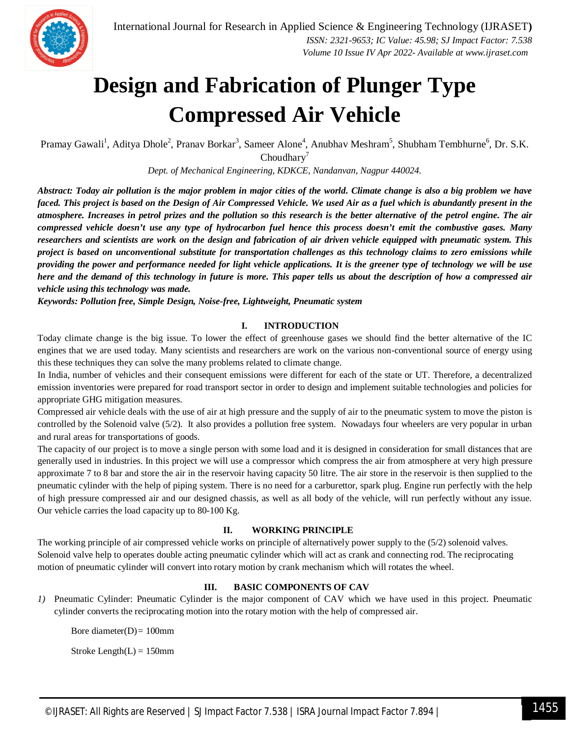

### **Design and Fabrication of Plunger Type Compressed Air Vehicle**

Pramay Gawali<sup>1</sup>, Aditya Dhole<sup>2</sup>, Pranav Borkar<sup>3</sup>, Sameer Alone<sup>4</sup>, Anubhav Meshram<sup>5</sup>, Shubham Tembhurne<sup>6</sup>, Dr. S.K.  $Choudhary<sup>7</sup>$ 

*Dept. of Mechanical Engineering, KDKCE, Nandanvan, Nagpur 440024.*

*Abstract: Today air pollution is the major problem in major cities of the world. Climate change is also a big problem we have faced. This project is based on the Design of Air Compressed Vehicle. We used Air as a fuel which is abundantly present in the atmosphere. Increases in petrol prizes and the pollution so this research is the better alternative of the petrol engine. The air compressed vehicle doesn't use any type of hydrocarbon fuel hence this process doesn't emit the combustive gases. Many researchers and scientists are work on the design and fabrication of air driven vehicle equipped with pneumatic system. This project is based on unconventional substitute for transportation challenges as this technology claims to zero emissions while providing the power and performance needed for light vehicle applications. It is the greener type of technology we will be use here and the demand of this technology in future is more. This paper tells us about the description of how a compressed air vehicle using this technology was made.*

*Keywords: Pollution free, Simple Design, Noise-free, Lightweight, Pneumatic system* 

#### **I. INTRODUCTION**

Today climate change is the big issue. To lower the effect of greenhouse gases we should find the better alternative of the IC engines that we are used today. Many scientists and researchers are work on the various non-conventional source of energy using this these techniques they can solve the many problems related to climate change.

In India, number of vehicles and their consequent emissions were different for each of the state or UT. Therefore, a decentralized emission inventories were prepared for road transport sector in order to design and implement suitable technologies and policies for appropriate GHG mitigation measures.

Compressed air vehicle deals with the use of air at high pressure and the supply of air to the pneumatic system to move the piston is controlled by the Solenoid valve (5/2). It also provides a pollution free system. Nowadays four wheelers are very popular in urban and rural areas for transportations of goods.

The capacity of our project is to move a single person with some load and it is designed in consideration for small distances that are generally used in industries. In this project we will use a compressor which compress the air from atmosphere at very high pressure approximate 7 to 8 bar and store the air in the reservoir having capacity 50 litre. The air store in the reservoir is then supplied to the pneumatic cylinder with the help of piping system. There is no need for a carburettor, spark plug. Engine run perfectly with the help of high pressure compressed air and our designed chassis, as well as all body of the vehicle, will run perfectly without any issue. Our vehicle carries the load capacity up to 80-100 Kg.

#### **II. WORKING PRINCIPLE**

The working principle of air compressed vehicle works on principle of alternatively power supply to the (5/2) solenoid valves. Solenoid valve help to operates double acting pneumatic cylinder which will act as crank and connecting rod. The reciprocating motion of pneumatic cylinder will convert into rotary motion by crank mechanism which will rotates the wheel.

#### **III. BASIC COMPONENTS OF CAV**

*1)* Pneumatic Cylinder: Pneumatic Cylinder is the major component of CAV which we have used in this project. Pneumatic cylinder converts the reciprocating motion into the rotary motion with the help of compressed air.

Bore diameter $(D) = 100$ mm

Stroke Length $(L) = 150$ mm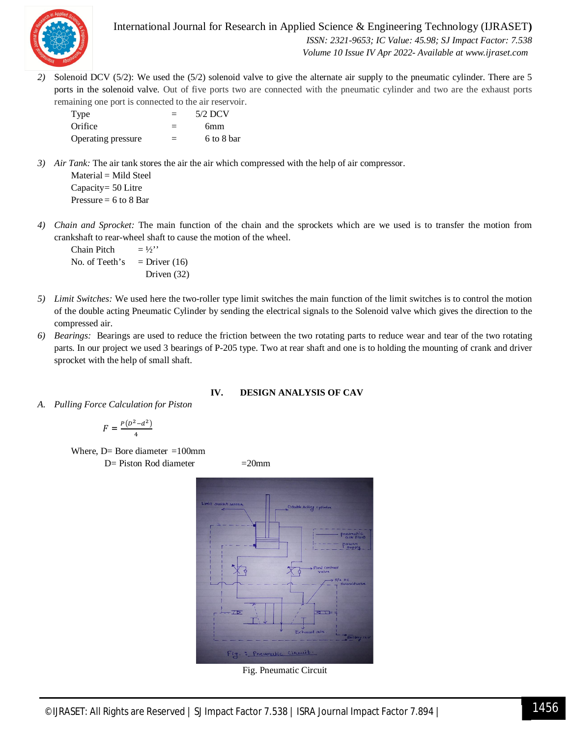

International Journal for Research in Applied Science & Engineering Technology (IJRASET**)**  *ISSN: 2321-9653; IC Value: 45.98; SJ Impact Factor: 7.538 Volume 10 Issue IV Apr 2022- Available at www.ijraset.com*

*2)* Solenoid DCV (5/2): We used the (5/2) solenoid valve to give the alternate air supply to the pneumatic cylinder. There are 5 ports in the solenoid valve. Out of five ports two are connected with the pneumatic cylinder and two are the exhaust ports remaining one port is connected to the air reservoir.

| Type               | $=$ | $5/2$ DCV  |
|--------------------|-----|------------|
| Orifice            | $=$ | 6mm        |
| Operating pressure | $=$ | 6 to 8 bar |

*3) Air Tank:* The air tank stores the air the air which compressed with the help of air compressor.

Material = Mild Steel Capacity= 50 Litre Pressure  $= 6$  to 8 Bar

*4) Chain and Sprocket:* The main function of the chain and the sprockets which are we used is to transfer the motion from crankshaft to rear-wheel shaft to cause the motion of the wheel.

Chain Pitch  $= \frac{1}{2}$ " No. of Teeth's  $=$  Driver (16) Driven (32)

- *5) Limit Switches:* We used here the two-roller type limit switches the main function of the limit switches is to control the motion of the double acting Pneumatic Cylinder by sending the electrical signals to the Solenoid valve which gives the direction to the compressed air.
- *6) Bearings:* Bearings are used to reduce the friction between the two rotating parts to reduce wear and tear of the two rotating parts. In our project we used 3 bearings of P-205 type. Two at rear shaft and one is to holding the mounting of crank and driver sprocket with the help of small shaft.

#### **IV. DESIGN ANALYSIS OF CAV**

*A. Pulling Force Calculation for Piston*

$$
F = \frac{P(D^2 - d^2)}{4}
$$

Where,  $D=$  Bore diameter =100mm  $D=$  Piston Rod diameter  $=20$ mm



Fig. Pneumatic Circuit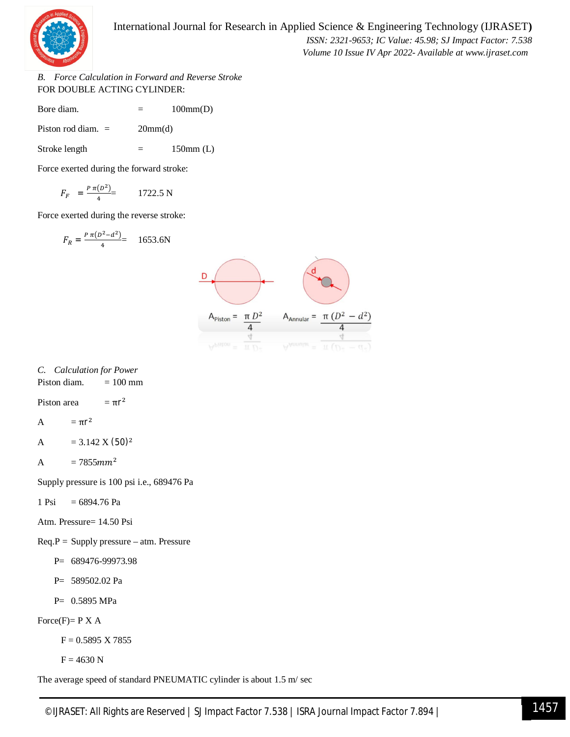

 *Volume 10 Issue IV Apr 2022- Available at www.ijraset.com*

*B. Force Calculation in Forward and Reverse Stroke* FOR DOUBLE ACTING CYLINDER:

Bore diam.  $= 100 \text{mm}(D)$ 

Piston rod diam.  $=$  20mm(d)

Stroke length  $=$  150mm (L)

Force exerted during the forward stroke:

$$
F_F = \frac{P \pi (D^2)}{4} = 1722.5 \text{ N}
$$

Force exerted during the reverse stroke:

$$
F_R = \frac{P \pi (D^2 - d^2)}{4} = 1653.6N
$$



#### *C. Calculation for Power*

Piston diam.  $= 100$  mm

Piston area  $= \pi r^2$ 

$$
A \qquad \quad = \pi r^2
$$

A =  $3.142 \text{ X } (50)^2$ 

$$
A = 7855 mm^2
$$

Supply pressure is 100 psi i.e., 689476 Pa

 $1 \text{ Psi} = 6894.76 \text{ Pa}$ 

Atm. Pressure= 14.50 Psi

- $Req.P = Supply pressure atm. Pressure$ 
	- P= 689476-99973.98

P= 589502.02 Pa

P= 0.5895 MPa

Force $(F)$ = P X A

 $F = 0.5895$  X 7855

 $F = 4630 N$ 

The average speed of standard PNEUMATIC cylinder is about 1.5 m/ sec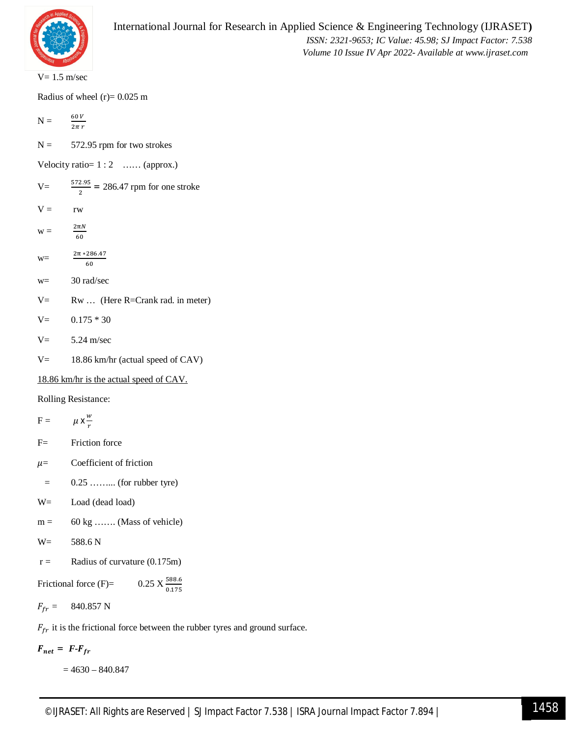

 $V= 1.5$  m/sec

Radius of wheel  $(r)$  = 0.025 m

 $N = \frac{60 V}{I}$  $2\pi r$ 

 $N = 572.95$  rpm for two strokes

Velocity ratio=  $1:2$  … (approx.)

- $V = \frac{572.95}{2} = 286.47$  rpm for one stroke  $V = r w$  $W =$  $2\pi N$ 60
- w=  $2\pi * 286.47$ 60
- w= 30 rad/sec
- $V=$  Rw ... (Here R=Crank rad. in meter)
- $V=$  0.175  $*$  30
- $V = 5.24$  m/sec
- $V =$  18.86 km/hr (actual speed of CAV)

18.86 km/hr is the actual speed of CAV.

Rolling Resistance:

$$
F = \mu x \frac{w}{r}
$$

- F= Friction force
- $\mu$ = Coefficient of friction
- $=$  0.25 … ... (for rubber tyre)
- W= Load (dead load)
- $m = 60 \text{ kg}$  ……. (Mass of vehicle)
- W= 588.6 N
- $r =$  Radius of curvature (0.175m)
- Frictional force  $(F)$ =  $0.25 \text{ X} \frac{588.6}{0.175}$

 $F_{fr} = 840.857 \text{ N}$ 

 $F_{fr}$  it is the frictional force between the rubber tyres and ground surface.

 $F_{net} = F - F_{fr}$ 

= 4630 – 840.847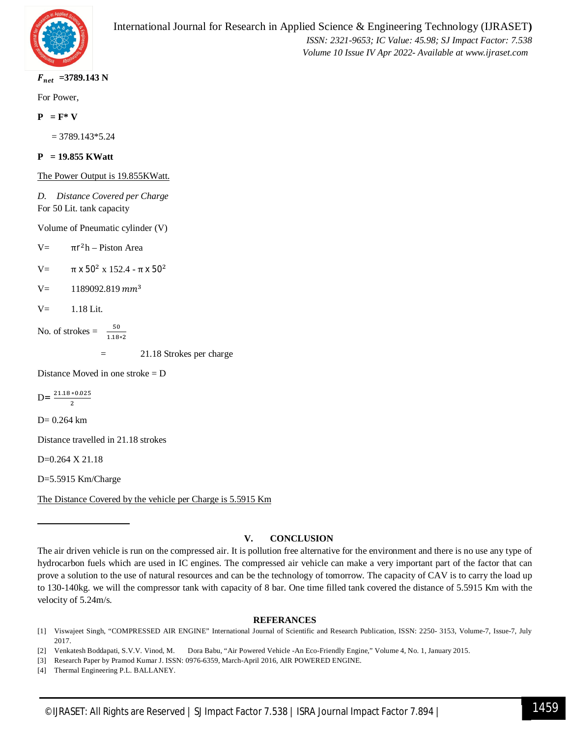

 $F_{net}$  =3789.143 N

For Power,

 $P = F^* V$ 

= 3789.143\*5.24

**P = 19.855 KWatt**

The Power Output is 19.855KWatt.

*D. Distance Covered per Charge* For 50 Lit. tank capacity

Volume of Pneumatic cylinder (V)

 $V=$  $\pi r^2 h$  – Piston Area

V=  $\pi$  x 50<sup>2</sup> x 152.4 -  $\pi$  x 50<sup>2</sup>

 $V=$  1189092.819  $mm<sup>3</sup>$ 

 $V=-1.18$  Lit.

No. of strokes  $=$  $1.18*2$ 

= 21.18 Strokes per charge

Distance Moved in one stroke  $= D$ 

 $D = \frac{21.18 * 0.025}{3}$  $\overline{c}$ 

D= 0.264 km

Distance travelled in 21.18 strokes

D=0.264 X 21.18

D=5.5915 Km/Charge

The Distance Covered by the vehicle per Charge is 5.5915 Km

#### **V. CONCLUSION**

#### **REFERANCES**

[1] Viswajeet Singh, "COMPRESSED AIR ENGINE" International Journal of Scientific and Research Publication, ISSN: 2250- 3153, Volume-7, Issue-7, July 2017.

[2] Venkatesh Boddapati, S.V.V. Vinod, M. Dora Babu, "Air Powered Vehicle -An Eco-Friendly Engine," Volume 4, No. 1, January 2015.

[3] Research Paper by Pramod Kumar J. ISSN: 0976-6359, March-April 2016, AIR POWERED ENGINE.

[4] Thermal Engineering P.L. BALLANEY.

The air driven vehicle is run on the compressed air. It is pollution free alternative for the environment and there is no use any type of hydrocarbon fuels which are used in IC engines. The compressed air vehicle can make a very important part of the factor that can prove a solution to the use of natural resources and can be the technology of tomorrow. The capacity of CAV is to carry the load up to 130-140kg. we will the compressor tank with capacity of 8 bar. One time filled tank covered the distance of 5.5915 Km with the velocity of 5.24m/s.